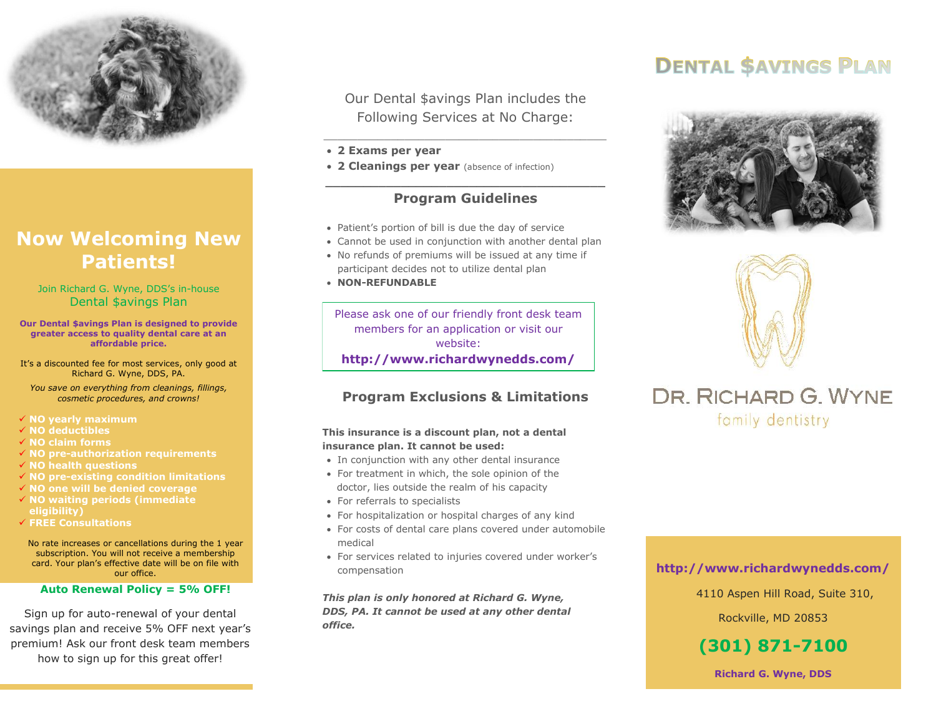

# **Now Welcoming New Patients!**

Join Richard G. Wyne, DDS's in-house Dental \$avings Plan

**Our Dental \$avings Plan is designed to provide greater access to quality dental care at an affordable price.**

It's a discounted fee for most services, only good at Richard G. Wyne, DDS, PA.

*You save on everything from cleanings, fillings, cosmetic procedures, and crowns!*

**NO yearly maximum**

- **NO deductibles**
- **NO claim forms**
- **NO pre-authorization requirements**
- **NO health questions**
- **NO pre-existing condition limitations**
- **NO one will be denied coverage**
- **NO waiting periods (immediate eligibility)**
- **FREE Consultations**

No rate increases or cancellations during the 1 year subscription. You will not receive a membership card. Your plan's effective date will be on file with our office.

#### **Auto Renewal Policy = 5% OFF!**

Sign up for auto-renewal of your dental savings plan and receive 5% OFF next year's premium! Ask our front desk team members how to sign up for this great offer!

Our Dental \$avings Plan includes the Following Services at No Charge:

\_\_\_\_\_\_\_\_\_\_\_\_\_\_\_\_\_\_\_\_\_\_\_\_\_\_\_\_\_\_\_\_\_\_\_\_\_\_\_\_\_\_

#### **2 Exams per year**

**2 Cleanings per year** (absence of infection)

### **\_\_\_\_\_\_\_\_\_\_\_\_\_\_\_\_\_\_\_\_\_\_\_\_\_\_\_\_\_\_\_\_\_\_\_\_\_ Program Guidelines**

- Patient's portion of bill is due the day of service
- Cannot be used in conjunction with another dental plan
- No refunds of premiums will be issued at any time if participant decides not to utilize dental plan
- **NON-REFUNDABLE**

Please ask one of our friendly front desk team members for an application or visit our website: **http://www.richardwynedds.com/**

## **Program Exclusions & Limitations**

#### **This insurance is a discount plan, not a dental insurance plan. It cannot be used:**

- In conjunction with any other dental insurance
- For treatment in which, the sole opinion of the doctor, lies outside the realm of his capacity
- For referrals to specialists
- For hospitalization or hospital charges of any kind
- For costs of dental care plans covered under automobile medical
- For services related to injuries covered under worker's compensation

*This plan is only honored at Richard G. Wyne, DDS, PA. It cannot be used at any other dental office.*

# **DENTAL SAVINGS PLAN**





# DR. RICHARD G. WYNE family dentistry

## **http://www.richardwynedds.com/**

4110 Aspen Hill Road, Suite 310,

Rockville, MD 20853

# **(301) 871-7100**

**Richard G. Wyne, DDS**